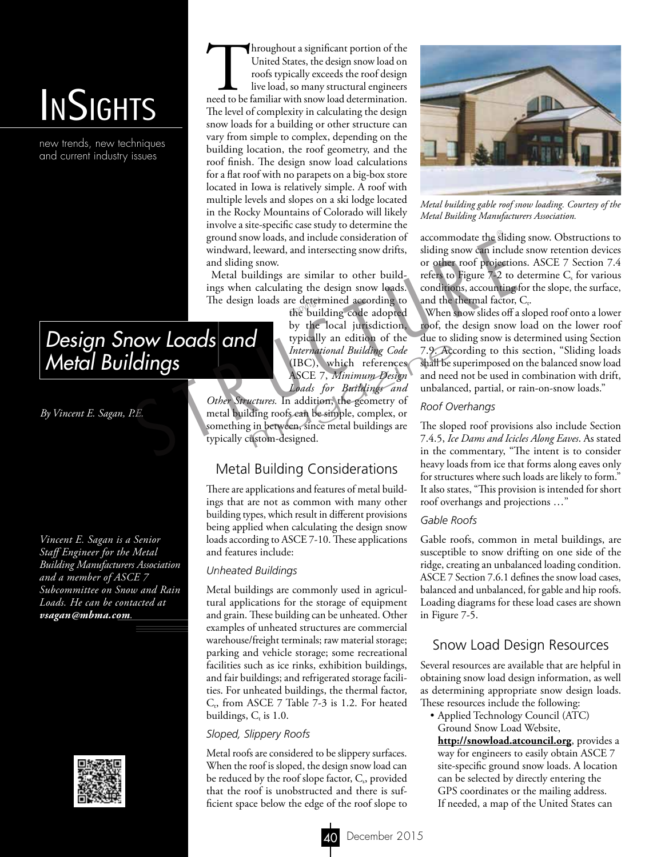# **INSIGHTS**

new trends, new techniques and current industry issues

Throughout a significant portion of the United States, the design snow load on roofs typically exceeds the roof design live load, so many structural engineers need to be familiar with snow load determination. United States, the design snow load on roofs typically exceeds the roof design live load, so many structural engineers The level of complexity in calculating the design snow loads for a building or other structure can vary from simple to complex, depending on the building location, the roof geometry, and the roof finish. The design snow load calculations for a flat roof with no parapets on a big-box store located in Iowa is relatively simple. A roof with multiple levels and slopes on a ski lodge located in the Rocky Mountains of Colorado will likely involve a site-specific case study to determine the ground snow loads, and include consideration of windward, leeward, and intersecting snow drifts, and sliding snow.

Metal buildings are similar to other buildings when calculating the design snow loads. The design loads are determined according to<br>the building code adopted

the building code adopted by the local jurisdiction, typically an edition of the *International Building Code* (IBC), which references ASCE 7, *Minimum Design Loads for Buildings and* 

*Other Structures.* In addition, the geometry of metal building roofs can be simple, complex, or something in between, since metal buildings are typically custom-designed. ground snow loads, and include consideration of<br>windward, leeward, and intersecting snow drifts, silding snow can includ<br>and sliding snow.<br>Metal buildings are similar to other build-<br>refers to Figure 7-2 to<br>migration and s International Building Code 7.9. Acc<br>
(IBC), which references shall be s<br>
ASCE 7, *Minimum Design* and need<br> *Loads for Buildings and* unbalane<br> *uctures*. In addition, the geometry of<br>
ding roofs can be simple, complex, o

## Metal Building Considerations

There are applications and features of metal buildings that are not as common with many other building types, which result in different provisions being applied when calculating the design snow loads according to ASCE 7-10. These applications and features include:

#### *Unheated Buildings*

Metal buildings are commonly used in agricultural applications for the storage of equipment and grain. These building can be unheated. Other examples of unheated structures are commercial warehouse/freight terminals; raw material storage; parking and vehicle storage; some recreational facilities such as ice rinks, exhibition buildings, and fair buildings; and refrigerated storage facilities. For unheated buildings, the thermal factor,  $C_t$ , from ASCE 7 Table 7-3 is 1.2. For heated buildings,  $C_t$  is 1.0.

#### *Sloped, Slippery Roofs*

Metal roofs are considered to be slippery surfaces. When the roof is sloped, the design snow load can be reduced by the roof slope factor,  $C_s$ , provided that the roof is unobstructed and there is sufficient space below the edge of the roof slope to



*Metal building gable roof snow loading. Courtesy of the Metal Building Manufacturers Association.*

accommodate the sliding snow. Obstructions to sliding snow can include snow retention devices or other roof projections. ASCE 7 Section 7.4 refers to Figure 7-2 to determine  $C_s$  for various conditions, accounting for the slope, the surface, and the thermal factor,  $C_t$ .

When snow slides off a sloped roof onto a lower roof, the design snow load on the lower roof due to sliding snow is determined using Section 7.9. According to this section, "Sliding loads shall be superimposed on the balanced snow load and need not be used in combination with drift, unbalanced, partial, or rain-on-snow loads."

#### *Roof Overhangs*

The sloped roof provisions also include Section 7.4.5, *Ice Dams and Icicles Along Eaves*. As stated in the commentary, "The intent is to consider heavy loads from ice that forms along eaves only for structures where such loads are likely to form." It also states, "This provision is intended for short roof overhangs and projections …"

#### *Gable Roofs*

Gable roofs, common in metal buildings, are susceptible to snow drifting on one side of the ridge, creating an unbalanced loading condition. ASCE 7 Section 7.6.1 defines the snow load cases, balanced and unbalanced, for gable and hip roofs. Loading diagrams for these load cases are shown in Figure 7-5.

#### Snow Load Design Resources

Several resources are available that are helpful in obtaining snow load design information, as well as determining appropriate snow design loads. These resources include the following:

• Applied Technology Council (ATC) Ground Snow Load Website,

**http://snowload.atcouncil.org**, provides a way for engineers to easily obtain ASCE 7 site-specific ground snow loads. A location can be selected by directly entering the GPS coordinates or the mailing address. If needed, a map of the United States can

# *Design Snow Loads and Metal Buildings*

*By Vincent E. Sagan, P.E.*

*Vincent E. Sagan is a Senior Staff Engineer for the Metal Building Manufacturers Association and a member of ASCE 7 Subcommittee on Snow and Rain Loads. He can be contacted at vsagan@mbma.com.*